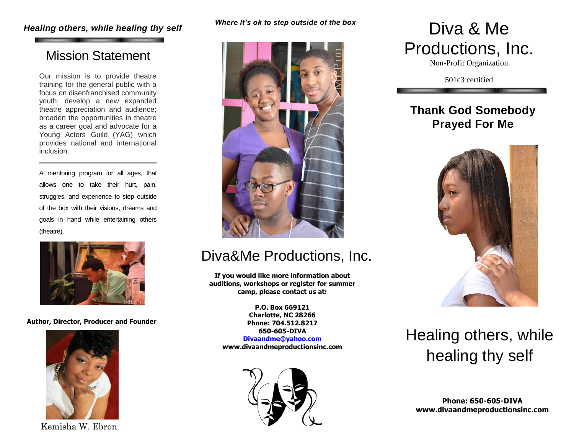### *Healing others, while healing thy self Where it's ok to step outside of the box* Diva & Me

## Mission Statement

Our mission is to provide theatre training for the general public with a focus on disenfranchised community youth; develop a new expanded theatre appreciation and audience; broaden the opportunities in theatre as a career goal and advocate for a Young Actors Guild (YAG) which provides national and international inclusion.

A mentoring program for all ages, that allows one to take their hurt, pain, struggles, and experience to step outside of the box with their visions, dreams and goals in hand while entertaining others (theatre).



**Author, Director, Producer and Founder**



Kemisha W. Ebron

#### *Where it's ok to step outside of the box*



## Diva&Me Productions, Inc.

**If you would like more information about auditions, workshops or register for summer camp, please contact us at:**

> **P.O. Box 669121 Charlotte, NC 28266 Phone: 704.512.8217 650-605-DIVA**

**[Divaandme@yahoo.com](mailto:Divaandme@yahoo.com) www.divaandmeproductionsinc.com**



# Productions, Inc.

Non-Profit Organization

501c3 certified

## **Thank God Somebody Prayed For Me**



# Healing others, while healing thy self

**Phone: 650-605-DIVA www.divaandmeproductionsinc.com**